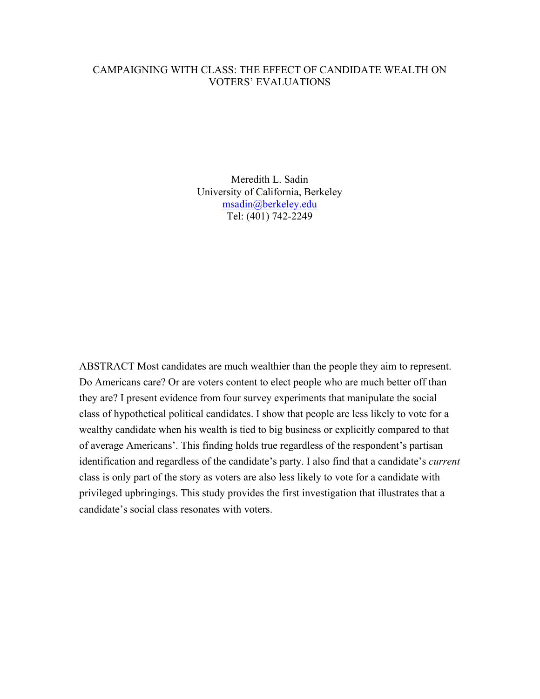## CAMPAIGNING WITH CLASS: THE EFFECT OF CANDIDATE WEALTH ON VOTERS' EVALUATIONS

Meredith L. Sadin University of California, Berkeley msadin@berkeley.edu Tel: (401) 742-2249

ABSTRACT Most candidates are much wealthier than the people they aim to represent. Do Americans care? Or are voters content to elect people who are much better off than they are? I present evidence from four survey experiments that manipulate the social class of hypothetical political candidates. I show that people are less likely to vote for a wealthy candidate when his wealth is tied to big business or explicitly compared to that of average Americans'. This finding holds true regardless of the respondent's partisan identification and regardless of the candidate's party. I also find that a candidate's *current*  class is only part of the story as voters are also less likely to vote for a candidate with privileged upbringings. This study provides the first investigation that illustrates that a candidate's social class resonates with voters.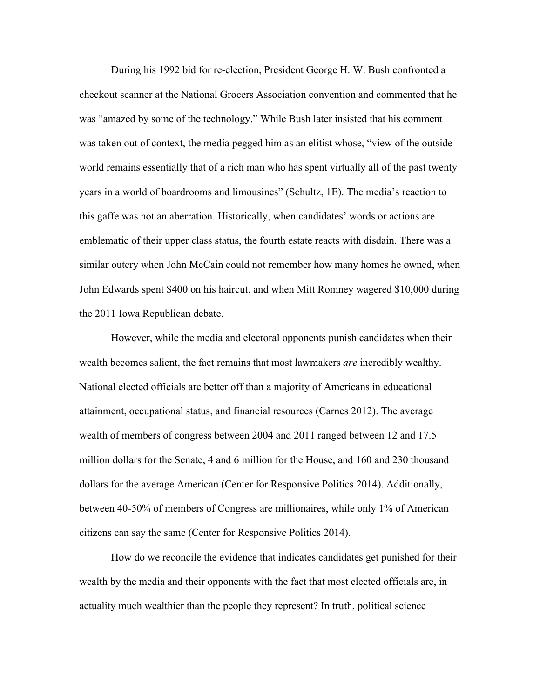During his 1992 bid for re-election, President George H. W. Bush confronted a checkout scanner at the National Grocers Association convention and commented that he was "amazed by some of the technology." While Bush later insisted that his comment was taken out of context, the media pegged him as an elitist whose, "view of the outside world remains essentially that of a rich man who has spent virtually all of the past twenty years in a world of boardrooms and limousines" (Schultz, 1E). The media's reaction to this gaffe was not an aberration. Historically, when candidates' words or actions are emblematic of their upper class status, the fourth estate reacts with disdain. There was a similar outcry when John McCain could not remember how many homes he owned, when John Edwards spent \$400 on his haircut, and when Mitt Romney wagered \$10,000 during the 2011 Iowa Republican debate.

However, while the media and electoral opponents punish candidates when their wealth becomes salient, the fact remains that most lawmakers *are* incredibly wealthy. National elected officials are better off than a majority of Americans in educational attainment, occupational status, and financial resources (Carnes 2012). The average wealth of members of congress between 2004 and 2011 ranged between 12 and 17.5 million dollars for the Senate, 4 and 6 million for the House, and 160 and 230 thousand dollars for the average American (Center for Responsive Politics 2014). Additionally, between 40-50% of members of Congress are millionaires, while only 1% of American citizens can say the same (Center for Responsive Politics 2014).

How do we reconcile the evidence that indicates candidates get punished for their wealth by the media and their opponents with the fact that most elected officials are, in actuality much wealthier than the people they represent? In truth, political science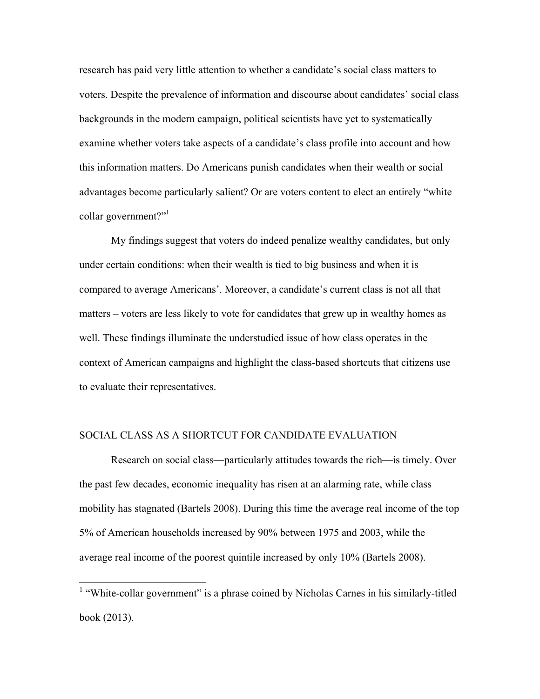research has paid very little attention to whether a candidate's social class matters to voters. Despite the prevalence of information and discourse about candidates' social class backgrounds in the modern campaign, political scientists have yet to systematically examine whether voters take aspects of a candidate's class profile into account and how this information matters. Do Americans punish candidates when their wealth or social advantages become particularly salient? Or are voters content to elect an entirely "white collar government?"<sup>1</sup>

My findings suggest that voters do indeed penalize wealthy candidates, but only under certain conditions: when their wealth is tied to big business and when it is compared to average Americans'. Moreover, a candidate's current class is not all that matters – voters are less likely to vote for candidates that grew up in wealthy homes as well. These findings illuminate the understudied issue of how class operates in the context of American campaigns and highlight the class-based shortcuts that citizens use to evaluate their representatives.

### SOCIAL CLASS AS A SHORTCUT FOR CANDIDATE EVALUATION

Research on social class—particularly attitudes towards the rich—is timely. Over the past few decades, economic inequality has risen at an alarming rate, while class mobility has stagnated (Bartels 2008). During this time the average real income of the top 5% of American households increased by 90% between 1975 and 2003, while the average real income of the poorest quintile increased by only 10% (Bartels 2008).

<sup>&</sup>lt;sup>1</sup> "White-collar government" is a phrase coined by Nicholas Carnes in his similarly-titled book (2013).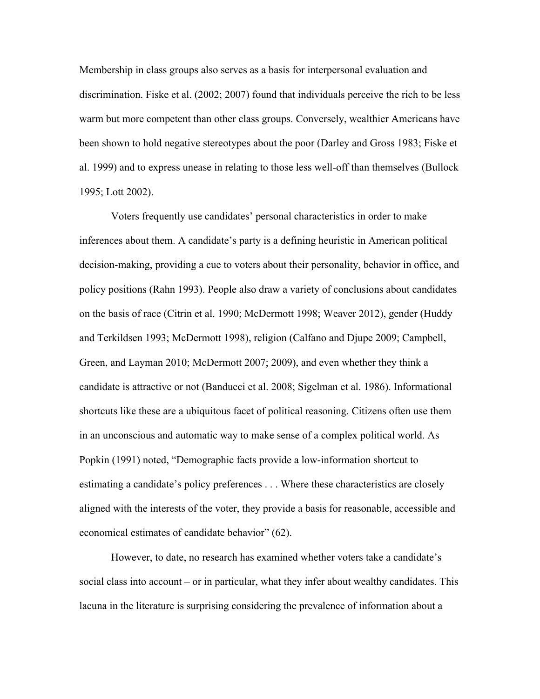Membership in class groups also serves as a basis for interpersonal evaluation and discrimination. Fiske et al. (2002; 2007) found that individuals perceive the rich to be less warm but more competent than other class groups. Conversely, wealthier Americans have been shown to hold negative stereotypes about the poor (Darley and Gross 1983; Fiske et al. 1999) and to express unease in relating to those less well-off than themselves (Bullock 1995; Lott 2002).

Voters frequently use candidates' personal characteristics in order to make inferences about them. A candidate's party is a defining heuristic in American political decision-making, providing a cue to voters about their personality, behavior in office, and policy positions (Rahn 1993). People also draw a variety of conclusions about candidates on the basis of race (Citrin et al. 1990; McDermott 1998; Weaver 2012), gender (Huddy and Terkildsen 1993; McDermott 1998), religion (Calfano and Djupe 2009; Campbell, Green, and Layman 2010; McDermott 2007; 2009), and even whether they think a candidate is attractive or not (Banducci et al. 2008; Sigelman et al. 1986). Informational shortcuts like these are a ubiquitous facet of political reasoning. Citizens often use them in an unconscious and automatic way to make sense of a complex political world. As Popkin (1991) noted, "Demographic facts provide a low-information shortcut to estimating a candidate's policy preferences . . . Where these characteristics are closely aligned with the interests of the voter, they provide a basis for reasonable, accessible and economical estimates of candidate behavior" (62).

However, to date, no research has examined whether voters take a candidate's social class into account – or in particular, what they infer about wealthy candidates. This lacuna in the literature is surprising considering the prevalence of information about a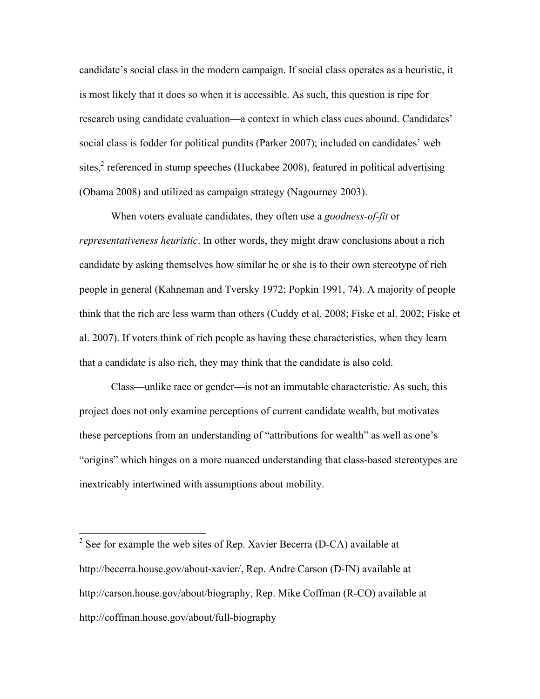candidate's social class in the modern campaign. If social class operates as a heuristic, it is most likely that it does so when it is accessible. As such, this question is ripe for research using candidate evaluation—a context in which class cues abound. Candidates' social class is fodder for political pundits (Parker 2007); included on candidates' web sites,<sup>2</sup> referenced in stump speeches (Huckabee 2008), featured in political advertising (Obama 2008) and utilized as campaign strategy (Nagourney 2003).

When voters evaluate candidates, they often use a *goodness-of-fit* or *representativeness heuristic*. In other words, they might draw conclusions about a rich candidate by asking themselves how similar he or she is to their own stereotype of rich people in general (Kahneman and Tversky 1972; Popkin 1991, 74). A majority of people think that the rich are less warm than others (Cuddy et al. 2008; Fiske et al. 2002; Fiske et al. 2007). If voters think of rich people as having these characteristics, when they learn that a candidate is also rich, they may think that the candidate is also cold.

Class—unlike race or gender—is not an immutable characteristic. As such, this project does not only examine perceptions of current candidate wealth, but motivates these perceptions from an understanding of "attributions for wealth" as well as one's "origins" which hinges on a more nuanced understanding that class-based stereotypes are inextricably intertwined with assumptions about mobility.

<sup>&</sup>lt;sup>2</sup> See for example the web sites of Rep. Xavier Becerra (D-CA) available at http://becerra.house.gov/about-xavier/, Rep. Andre Carson (D-IN) available at http://carson.house.gov/about/biography, Rep. Mike Coffman (R-CO) available at http://coffman.house.gov/about/full-biography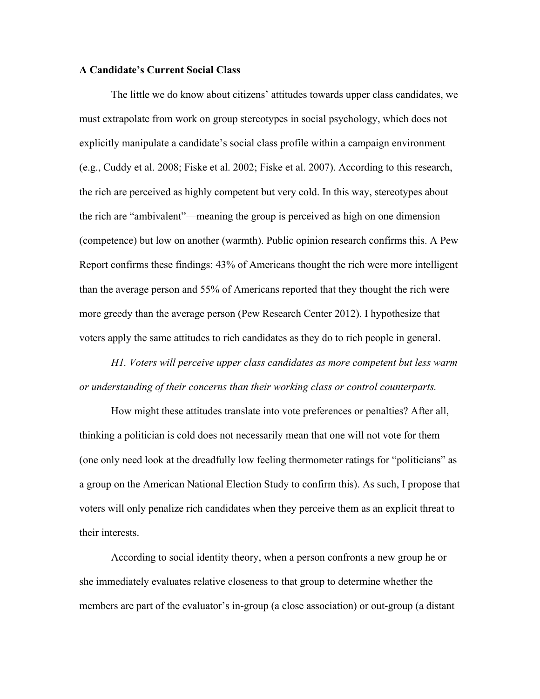### **A Candidate's Current Social Class**

The little we do know about citizens' attitudes towards upper class candidates, we must extrapolate from work on group stereotypes in social psychology, which does not explicitly manipulate a candidate's social class profile within a campaign environment (e.g., Cuddy et al. 2008; Fiske et al. 2002; Fiske et al. 2007). According to this research, the rich are perceived as highly competent but very cold. In this way, stereotypes about the rich are "ambivalent"—meaning the group is perceived as high on one dimension (competence) but low on another (warmth). Public opinion research confirms this. A Pew Report confirms these findings: 43% of Americans thought the rich were more intelligent than the average person and 55% of Americans reported that they thought the rich were more greedy than the average person (Pew Research Center 2012). I hypothesize that voters apply the same attitudes to rich candidates as they do to rich people in general.

*H1. Voters will perceive upper class candidates as more competent but less warm or understanding of their concerns than their working class or control counterparts.*

How might these attitudes translate into vote preferences or penalties? After all, thinking a politician is cold does not necessarily mean that one will not vote for them (one only need look at the dreadfully low feeling thermometer ratings for "politicians" as a group on the American National Election Study to confirm this). As such, I propose that voters will only penalize rich candidates when they perceive them as an explicit threat to their interests.

According to social identity theory, when a person confronts a new group he or she immediately evaluates relative closeness to that group to determine whether the members are part of the evaluator's in-group (a close association) or out-group (a distant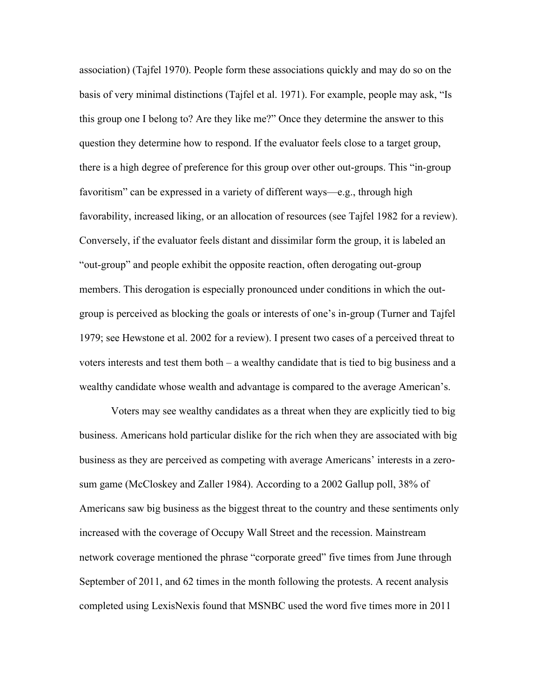association) (Tajfel 1970). People form these associations quickly and may do so on the basis of very minimal distinctions (Tajfel et al. 1971). For example, people may ask, "Is this group one I belong to? Are they like me?" Once they determine the answer to this question they determine how to respond. If the evaluator feels close to a target group, there is a high degree of preference for this group over other out-groups. This "in-group favoritism" can be expressed in a variety of different ways—e.g., through high favorability, increased liking, or an allocation of resources (see Tajfel 1982 for a review). Conversely, if the evaluator feels distant and dissimilar form the group, it is labeled an "out-group" and people exhibit the opposite reaction, often derogating out-group members. This derogation is especially pronounced under conditions in which the outgroup is perceived as blocking the goals or interests of one's in-group (Turner and Tajfel 1979; see Hewstone et al. 2002 for a review). I present two cases of a perceived threat to voters interests and test them both – a wealthy candidate that is tied to big business and a wealthy candidate whose wealth and advantage is compared to the average American's.

Voters may see wealthy candidates as a threat when they are explicitly tied to big business. Americans hold particular dislike for the rich when they are associated with big business as they are perceived as competing with average Americans' interests in a zerosum game (McCloskey and Zaller 1984). According to a 2002 Gallup poll, 38% of Americans saw big business as the biggest threat to the country and these sentiments only increased with the coverage of Occupy Wall Street and the recession. Mainstream network coverage mentioned the phrase "corporate greed" five times from June through September of 2011, and 62 times in the month following the protests. A recent analysis completed using LexisNexis found that MSNBC used the word five times more in 2011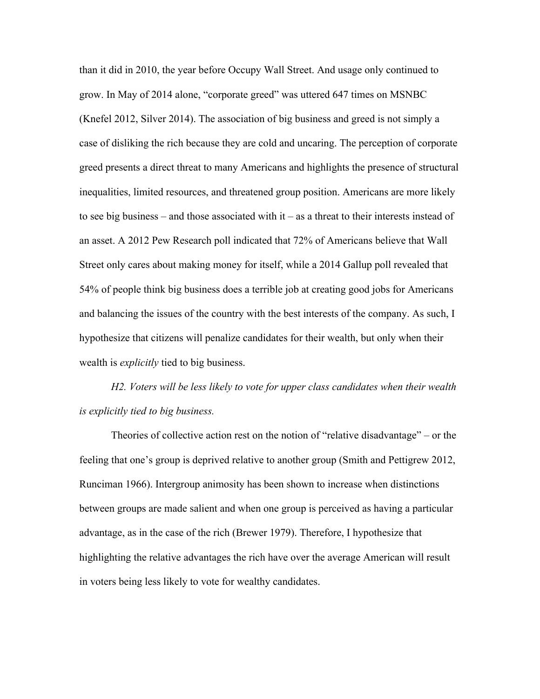than it did in 2010, the year before Occupy Wall Street. And usage only continued to grow. In May of 2014 alone, "corporate greed" was uttered 647 times on MSNBC (Knefel 2012, Silver 2014). The association of big business and greed is not simply a case of disliking the rich because they are cold and uncaring. The perception of corporate greed presents a direct threat to many Americans and highlights the presence of structural inequalities, limited resources, and threatened group position. Americans are more likely to see big business – and those associated with  $t - as a$  threat to their interests instead of an asset. A 2012 Pew Research poll indicated that 72% of Americans believe that Wall Street only cares about making money for itself, while a 2014 Gallup poll revealed that 54% of people think big business does a terrible job at creating good jobs for Americans and balancing the issues of the country with the best interests of the company. As such, I hypothesize that citizens will penalize candidates for their wealth, but only when their wealth is *explicitly* tied to big business.

*H2. Voters will be less likely to vote for upper class candidates when their wealth is explicitly tied to big business.*

Theories of collective action rest on the notion of "relative disadvantage" – or the feeling that one's group is deprived relative to another group (Smith and Pettigrew 2012, Runciman 1966). Intergroup animosity has been shown to increase when distinctions between groups are made salient and when one group is perceived as having a particular advantage, as in the case of the rich (Brewer 1979). Therefore, I hypothesize that highlighting the relative advantages the rich have over the average American will result in voters being less likely to vote for wealthy candidates.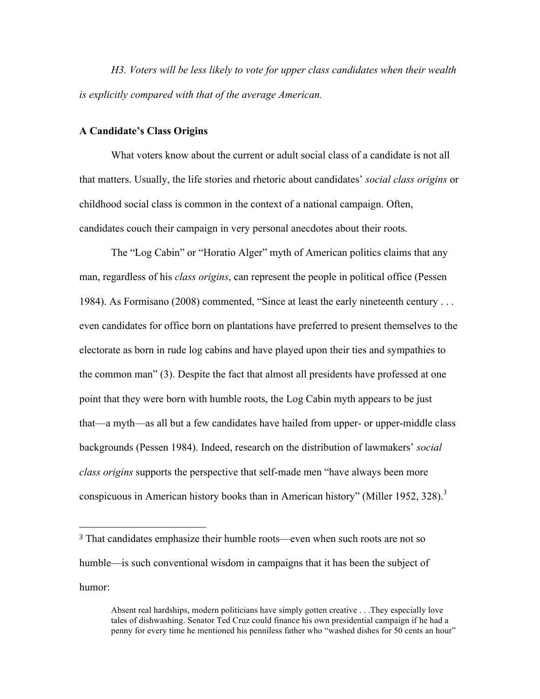*H3. Voters will be less likely to vote for upper class candidates when their wealth is explicitly compared with that of the average American.*

## **A Candidate's Class Origins**

!!!!!!!!!!!!!!!!!!!!!!!!!!!!!!!!!!!!!!!!!!!!!!!!!!!!!!!

What voters know about the current or adult social class of a candidate is not all that matters. Usually, the life stories and rhetoric about candidates' *social class origins* or childhood social class is common in the context of a national campaign. Often, candidates couch their campaign in very personal anecdotes about their roots.

The "Log Cabin" or "Horatio Alger" myth of American politics claims that any man, regardless of his *class origins*, can represent the people in political office (Pessen 1984). As Formisano (2008) commented, "Since at least the early nineteenth century . . . even candidates for office born on plantations have preferred to present themselves to the electorate as born in rude log cabins and have played upon their ties and sympathies to the common man" (3). Despite the fact that almost all presidents have professed at one point that they were born with humble roots, the Log Cabin myth appears to be just that—a myth—as all but a few candidates have hailed from upper- or upper-middle class backgrounds (Pessen 1984). Indeed, research on the distribution of lawmakers' *social class origins* supports the perspective that self-made men "have always been more conspicuous in American history books than in American history" (Miller 1952, 328).<sup>3</sup>

<sup>3</sup> That candidates emphasize their humble roots—even when such roots are not so humble—is such conventional wisdom in campaigns that it has been the subject of humor:

Absent real hardships, modern politicians have simply gotten creative . . .They especially love tales of dishwashing. Senator Ted Cruz could finance his own presidential campaign if he had a penny for every time he mentioned his penniless father who "washed dishes for 50 cents an hour"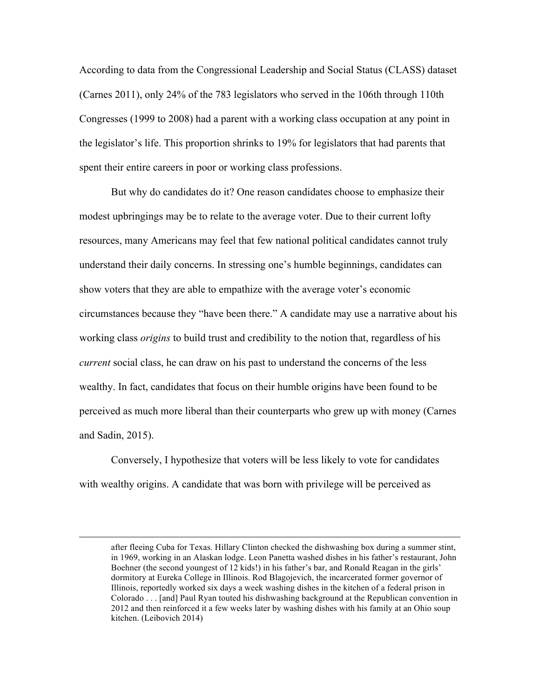According to data from the Congressional Leadership and Social Status (CLASS) dataset (Carnes 2011), only 24% of the 783 legislators who served in the 106th through 110th Congresses (1999 to 2008) had a parent with a working class occupation at any point in the legislator's life. This proportion shrinks to 19% for legislators that had parents that spent their entire careers in poor or working class professions.

But why do candidates do it? One reason candidates choose to emphasize their modest upbringings may be to relate to the average voter. Due to their current lofty resources, many Americans may feel that few national political candidates cannot truly understand their daily concerns. In stressing one's humble beginnings, candidates can show voters that they are able to empathize with the average voter's economic circumstances because they "have been there." A candidate may use a narrative about his working class *origins* to build trust and credibility to the notion that, regardless of his *current* social class, he can draw on his past to understand the concerns of the less wealthy. In fact, candidates that focus on their humble origins have been found to be perceived as much more liberal than their counterparts who grew up with money (Carnes and Sadin, 2015).

Conversely, I hypothesize that voters will be less likely to vote for candidates with wealthy origins. A candidate that was born with privilege will be perceived as

!!!!!!!!!!!!!!!!!!!!!!!!!!!!!!!!!!!!!!!!!!!!!!!!!!!!!!!!!!!!!!!!!!!!!!!!!!!!!!!!!!!!!!!!!!!!!!!!!!!!!!!!!!!!!!!!!!!!!!!!!!!!!!!!!!!!!!!!!!!!!!!!!!!!!!!!!!!!!!!!!!!!

after fleeing Cuba for Texas. Hillary Clinton checked the dishwashing box during a summer stint, in 1969, working in an Alaskan lodge. Leon Panetta washed dishes in his father's restaurant, John Boehner (the second youngest of 12 kids!) in his father's bar, and Ronald Reagan in the girls' dormitory at Eureka College in Illinois. Rod Blagojevich, the incarcerated former governor of Illinois, reportedly worked six days a week washing dishes in the kitchen of a federal prison in Colorado . . . [and] Paul Ryan touted his dishwashing background at the Republican convention in 2012 and then reinforced it a few weeks later by washing dishes with his family at an Ohio soup kitchen. (Leibovich 2014)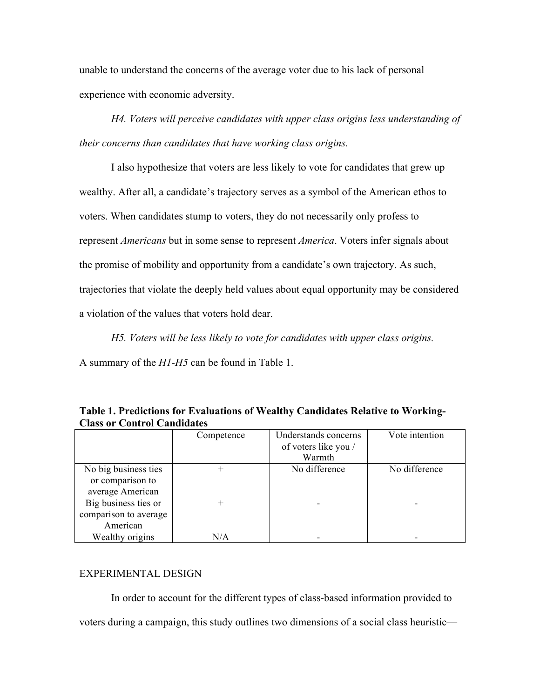unable to understand the concerns of the average voter due to his lack of personal experience with economic adversity.

*H4. Voters will perceive candidates with upper class origins less understanding of their concerns than candidates that have working class origins.*

I also hypothesize that voters are less likely to vote for candidates that grew up wealthy. After all, a candidate's trajectory serves as a symbol of the American ethos to voters. When candidates stump to voters, they do not necessarily only profess to represent *Americans* but in some sense to represent *America*. Voters infer signals about the promise of mobility and opportunity from a candidate's own trajectory. As such, trajectories that violate the deeply held values about equal opportunity may be considered a violation of the values that voters hold dear.

*H5. Voters will be less likely to vote for candidates with upper class origins.*

A summary of the *H1-H5* can be found in Table 1.

|                       | Competence | Understands concerns<br>of voters like you /<br>Warmth | Vote intention |
|-----------------------|------------|--------------------------------------------------------|----------------|
| No big business ties  |            | No difference                                          | No difference  |
| or comparison to      |            |                                                        |                |
| average American      |            |                                                        |                |
| Big business ties or  |            |                                                        |                |
| comparison to average |            |                                                        |                |
| American              |            |                                                        |                |
| Wealthy origins       | N/A        |                                                        |                |

**Table 1. Predictions for Evaluations of Wealthy Candidates Relative to Working-Class or Control Candidates**

### EXPERIMENTAL DESIGN

In order to account for the different types of class-based information provided to voters during a campaign, this study outlines two dimensions of a social class heuristic—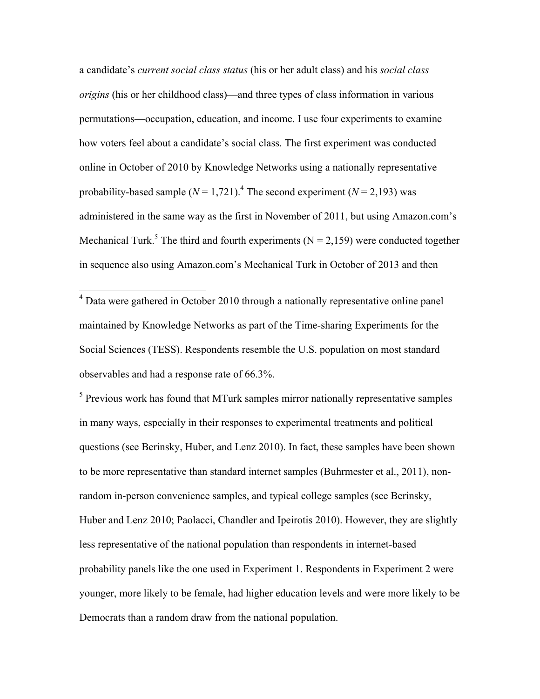a candidate's *current social class status* (his or her adult class) and his *social class origins* (his or her childhood class)—and three types of class information in various permutations—occupation, education, and income. I use four experiments to examine how voters feel about a candidate's social class. The first experiment was conducted online in October of 2010 by Knowledge Networks using a nationally representative probability-based sample  $(N = 1,721)$ .<sup>4</sup> The second experiment  $(N = 2,193)$  was administered in the same way as the first in November of 2011, but using Amazon.com's Mechanical Turk.<sup>5</sup> The third and fourth experiments ( $N = 2.159$ ) were conducted together in sequence also using Amazon.com's Mechanical Turk in October of 2013 and then

<sup>4</sup> Data were gathered in October 2010 through a nationally representative online panel maintained by Knowledge Networks as part of the Time-sharing Experiments for the Social Sciences (TESS). Respondents resemble the U.S. population on most standard observables and had a response rate of 66.3%.

<sup>5</sup> Previous work has found that MTurk samples mirror nationally representative samples in many ways, especially in their responses to experimental treatments and political questions (see Berinsky, Huber, and Lenz 2010). In fact, these samples have been shown to be more representative than standard internet samples (Buhrmester et al., 2011), nonrandom in-person convenience samples, and typical college samples (see Berinsky, Huber and Lenz 2010; Paolacci, Chandler and Ipeirotis 2010). However, they are slightly less representative of the national population than respondents in internet-based probability panels like the one used in Experiment 1. Respondents in Experiment 2 were younger, more likely to be female, had higher education levels and were more likely to be Democrats than a random draw from the national population.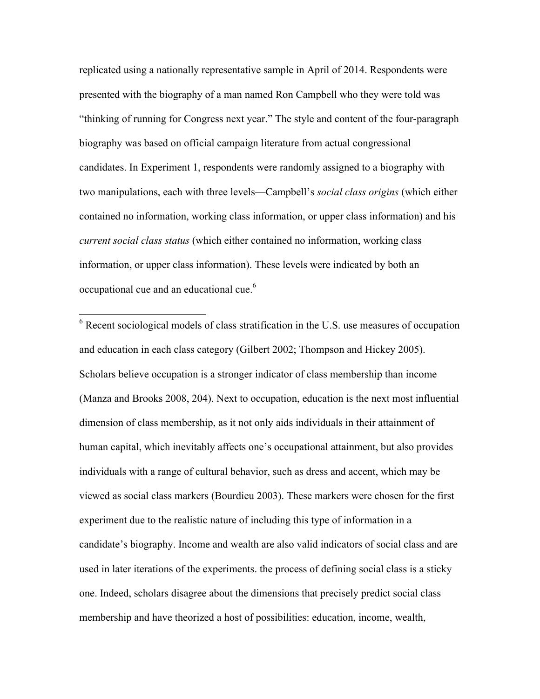replicated using a nationally representative sample in April of 2014. Respondents were presented with the biography of a man named Ron Campbell who they were told was "thinking of running for Congress next year." The style and content of the four-paragraph biography was based on official campaign literature from actual congressional candidates. In Experiment 1, respondents were randomly assigned to a biography with two manipulations, each with three levels—Campbell's *social class origins* (which either contained no information, working class information, or upper class information) and his *current social class status* (which either contained no information, working class information, or upper class information). These levels were indicated by both an occupational cue and an educational cue.6

 $6$  Recent sociological models of class stratification in the U.S. use measures of occupation and education in each class category (Gilbert 2002; Thompson and Hickey 2005). Scholars believe occupation is a stronger indicator of class membership than income (Manza and Brooks 2008, 204). Next to occupation, education is the next most influential dimension of class membership, as it not only aids individuals in their attainment of human capital, which inevitably affects one's occupational attainment, but also provides individuals with a range of cultural behavior, such as dress and accent, which may be viewed as social class markers (Bourdieu 2003). These markers were chosen for the first experiment due to the realistic nature of including this type of information in a candidate's biography. Income and wealth are also valid indicators of social class and are used in later iterations of the experiments. the process of defining social class is a sticky one. Indeed, scholars disagree about the dimensions that precisely predict social class membership and have theorized a host of possibilities: education, income, wealth,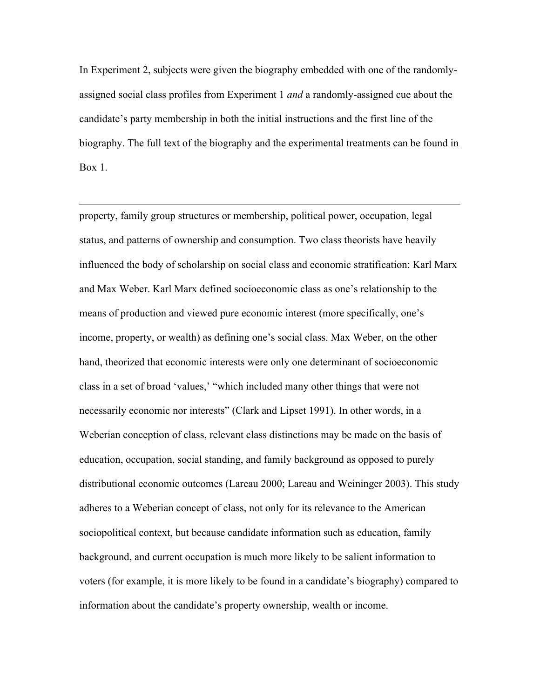In Experiment 2, subjects were given the biography embedded with one of the randomlyassigned social class profiles from Experiment 1 *and* a randomly-assigned cue about the candidate's party membership in both the initial instructions and the first line of the biography. The full text of the biography and the experimental treatments can be found in Box 1.

!!!!!!!!!!!!!!!!!!!!!!!!!!!!!!!!!!!!!!!!!!!!!!!!!!!!!!!!!!!!!!!!!!!!!!!!!!!!!!!!!!!!!!!!!!!!!!!!!!!!!!!!!!!!!!!!!!!!!!!!!!!!!!!!!!!!!!!!!!!!!!!!!!!!!!!!!!!!!!!!!!!!

property, family group structures or membership, political power, occupation, legal status, and patterns of ownership and consumption. Two class theorists have heavily influenced the body of scholarship on social class and economic stratification: Karl Marx and Max Weber. Karl Marx defined socioeconomic class as one's relationship to the means of production and viewed pure economic interest (more specifically, one's income, property, or wealth) as defining one's social class. Max Weber, on the other hand, theorized that economic interests were only one determinant of socioeconomic class in a set of broad 'values,' "which included many other things that were not necessarily economic nor interests" (Clark and Lipset 1991). In other words, in a Weberian conception of class, relevant class distinctions may be made on the basis of education, occupation, social standing, and family background as opposed to purely distributional economic outcomes (Lareau 2000; Lareau and Weininger 2003). This study adheres to a Weberian concept of class, not only for its relevance to the American sociopolitical context, but because candidate information such as education, family background, and current occupation is much more likely to be salient information to voters (for example, it is more likely to be found in a candidate's biography) compared to information about the candidate's property ownership, wealth or income.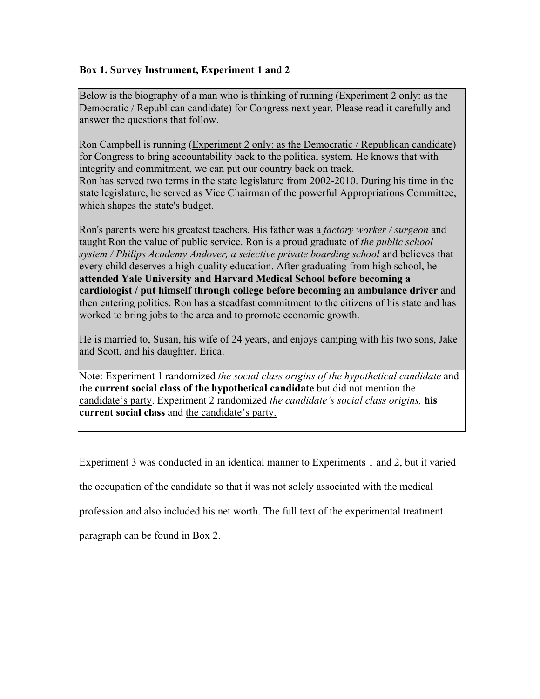# **Box 1. Survey Instrument, Experiment 1 and 2**

Below is the biography of a man who is thinking of running (Experiment 2 only: as the Democratic / Republican candidate) for Congress next year. Please read it carefully and answer the questions that follow.

Ron Campbell is running (Experiment 2 only: as the Democratic / Republican candidate) for Congress to bring accountability back to the political system. He knows that with integrity and commitment, we can put our country back on track. Ron has served two terms in the state legislature from 2002-2010. During his time in the state legislature, he served as Vice Chairman of the powerful Appropriations Committee, which shapes the state's budget.

Ron's parents were his greatest teachers. His father was a *factory worker / surgeon* and taught Ron the value of public service. Ron is a proud graduate of *the public school system / Philips Academy Andover, a selective private boarding school* and believes that every child deserves a high-quality education. After graduating from high school, he **attended Yale University and Harvard Medical School before becoming a cardiologist / put himself through college before becoming an ambulance driver** and then entering politics. Ron has a steadfast commitment to the citizens of his state and has worked to bring jobs to the area and to promote economic growth.

He is married to, Susan, his wife of 24 years, and enjoys camping with his two sons, Jake and Scott, and his daughter, Erica.

Note: Experiment 1 randomized *the social class origins of the hypothetical candidate* and the **current social class of the hypothetical candidate** but did not mention the candidate's party. Experiment 2 randomized *the candidate's social class origins,* **his current social class** and the candidate's party.

Experiment 3 was conducted in an identical manner to Experiments 1 and 2, but it varied

the occupation of the candidate so that it was not solely associated with the medical

profession and also included his net worth. The full text of the experimental treatment

paragraph can be found in Box 2.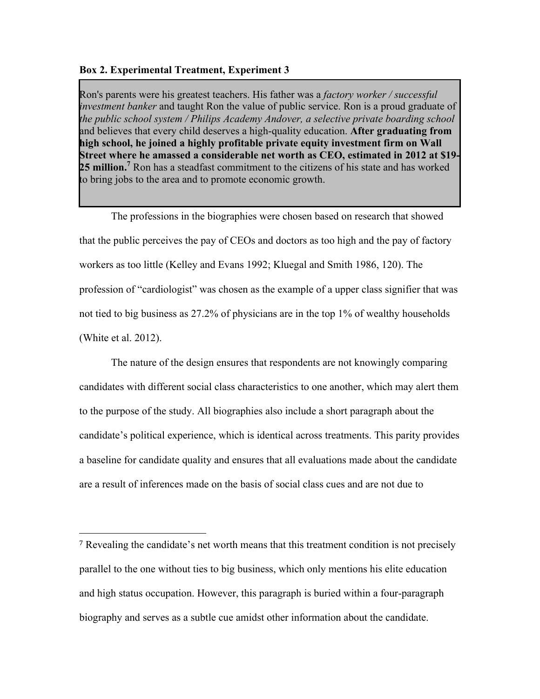### **Box 2. Experimental Treatment, Experiment 3**

!!!!!!!!!!!!!!!!!!!!!!!!!!!!!!!!!!!!!!!!!!!!!!!!!!!!!!!

Ron's parents were his greatest teachers. His father was a *factory worker / successful investment banker* and taught Ron the value of public service. Ron is a proud graduate of *the public school system / Philips Academy Andover, a selective private boarding school* and believes that every child deserves a high-quality education. **After graduating from high school, he joined a highly profitable private equity investment firm on Wall Street where he amassed a considerable net worth as CEO, estimated in 2012 at \$19-** 25 million.<sup>7</sup> Ron has a steadfast commitment to the citizens of his state and has worked to bring jobs to the area and to promote economic growth.

The professions in the biographies were chosen based on research that showed that the public perceives the pay of CEOs and doctors as too high and the pay of factory workers as too little (Kelley and Evans 1992; Kluegal and Smith 1986, 120). The profession of "cardiologist" was chosen as the example of a upper class signifier that was not tied to big business as 27.2% of physicians are in the top 1% of wealthy households (White et al. 2012).

The nature of the design ensures that respondents are not knowingly comparing candidates with different social class characteristics to one another, which may alert them to the purpose of the study. All biographies also include a short paragraph about the candidate's political experience, which is identical across treatments. This parity provides a baseline for candidate quality and ensures that all evaluations made about the candidate are a result of inferences made on the basis of social class cues and are not due to

<sup>7</sup> Revealing the candidate's net worth means that this treatment condition is not precisely parallel to the one without ties to big business, which only mentions his elite education and high status occupation. However, this paragraph is buried within a four-paragraph biography and serves as a subtle cue amidst other information about the candidate.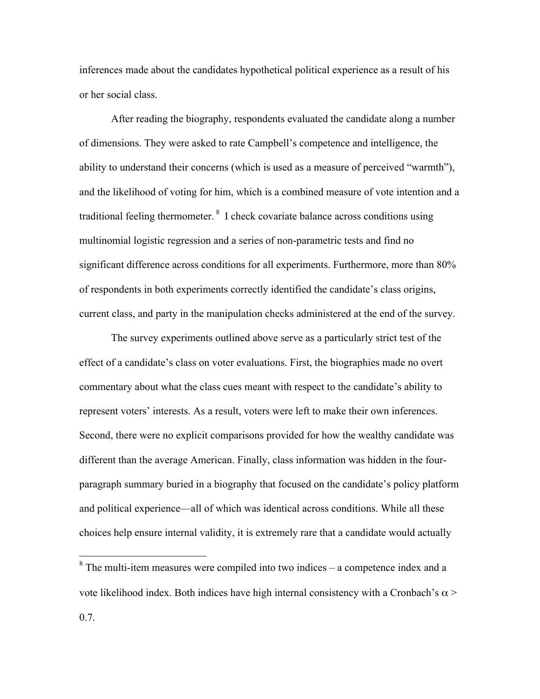inferences made about the candidates hypothetical political experience as a result of his or her social class.

After reading the biography, respondents evaluated the candidate along a number of dimensions. They were asked to rate Campbell's competence and intelligence, the ability to understand their concerns (which is used as a measure of perceived "warmth"), and the likelihood of voting for him, which is a combined measure of vote intention and a traditional feeling thermometer. <sup>8</sup> I check covariate balance across conditions using multinomial logistic regression and a series of non-parametric tests and find no significant difference across conditions for all experiments. Furthermore, more than 80% of respondents in both experiments correctly identified the candidate's class origins, current class, and party in the manipulation checks administered at the end of the survey.

The survey experiments outlined above serve as a particularly strict test of the effect of a candidate's class on voter evaluations. First, the biographies made no overt commentary about what the class cues meant with respect to the candidate's ability to represent voters' interests. As a result, voters were left to make their own inferences. Second, there were no explicit comparisons provided for how the wealthy candidate was different than the average American. Finally, class information was hidden in the fourparagraph summary buried in a biography that focused on the candidate's policy platform and political experience—all of which was identical across conditions. While all these choices help ensure internal validity, it is extremely rare that a candidate would actually

 $8$  The multi-item measures were compiled into two indices – a competence index and a vote likelihood index. Both indices have high internal consistency with a Cronbach's  $\alpha$  > 0.7.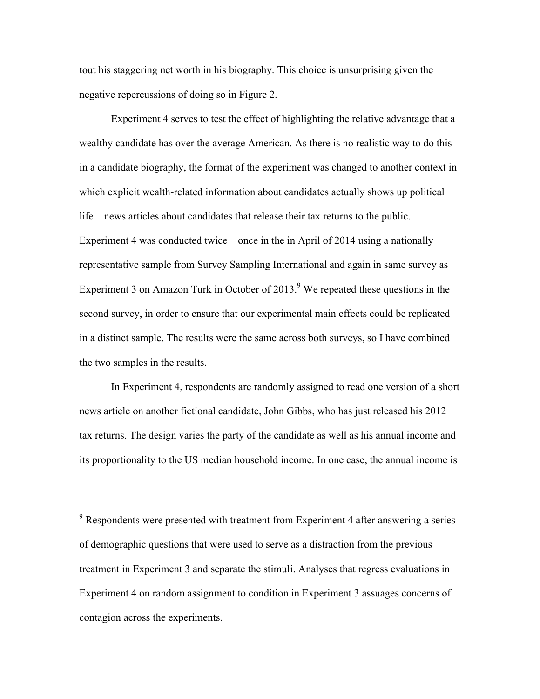tout his staggering net worth in his biography. This choice is unsurprising given the negative repercussions of doing so in Figure 2.

Experiment 4 serves to test the effect of highlighting the relative advantage that a wealthy candidate has over the average American. As there is no realistic way to do this in a candidate biography, the format of the experiment was changed to another context in which explicit wealth-related information about candidates actually shows up political life – news articles about candidates that release their tax returns to the public. Experiment 4 was conducted twice—once in the in April of 2014 using a nationally representative sample from Survey Sampling International and again in same survey as Experiment 3 on Amazon Turk in October of  $2013<sup>9</sup>$  We repeated these questions in the second survey, in order to ensure that our experimental main effects could be replicated in a distinct sample. The results were the same across both surveys, so I have combined the two samples in the results.

In Experiment 4, respondents are randomly assigned to read one version of a short news article on another fictional candidate, John Gibbs, who has just released his 2012 tax returns. The design varies the party of the candidate as well as his annual income and its proportionality to the US median household income. In one case, the annual income is

<sup>&</sup>lt;sup>9</sup> Respondents were presented with treatment from Experiment 4 after answering a series of demographic questions that were used to serve as a distraction from the previous treatment in Experiment 3 and separate the stimuli. Analyses that regress evaluations in Experiment 4 on random assignment to condition in Experiment 3 assuages concerns of contagion across the experiments.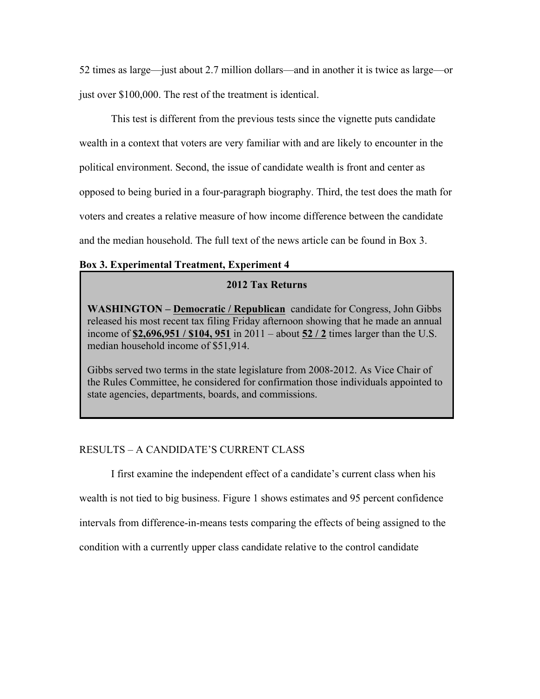52 times as large—just about 2.7 million dollars—and in another it is twice as large—or just over \$100,000. The rest of the treatment is identical.

This test is different from the previous tests since the vignette puts candidate wealth in a context that voters are very familiar with and are likely to encounter in the political environment. Second, the issue of candidate wealth is front and center as opposed to being buried in a four-paragraph biography. Third, the test does the math for voters and creates a relative measure of how income difference between the candidate and the median household. The full text of the news article can be found in Box 3.

## **Box 3. Experimental Treatment, Experiment 4**

## **2012 Tax Returns**

**WASHINGTON – Democratic / Republican** candidate for Congress, John Gibbs released his most recent tax filing Friday afternoon showing that he made an annual income of **\$2,696,951 / \$104, 951** in 2011 – about **52 / 2** times larger than the U.S. median household income of \$51,914.

Gibbs served two terms in the state legislature from 2008-2012. As Vice Chair of the Rules Committee, he considered for confirmation those individuals appointed to state agencies, departments, boards, and commissions.

# RESULTS – A CANDIDATE'S CURRENT CLASS

I first examine the independent effect of a candidate's current class when his wealth is not tied to big business. Figure 1 shows estimates and 95 percent confidence intervals from difference-in-means tests comparing the effects of being assigned to the condition with a currently upper class candidate relative to the control candidate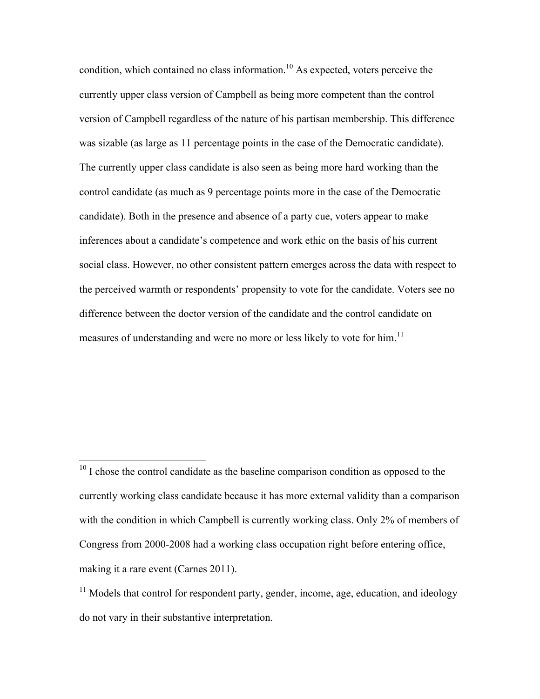condition, which contained no class information.<sup>10</sup> As expected, voters perceive the currently upper class version of Campbell as being more competent than the control version of Campbell regardless of the nature of his partisan membership. This difference was sizable (as large as 11 percentage points in the case of the Democratic candidate). The currently upper class candidate is also seen as being more hard working than the control candidate (as much as 9 percentage points more in the case of the Democratic candidate). Both in the presence and absence of a party cue, voters appear to make inferences about a candidate's competence and work ethic on the basis of his current social class. However, no other consistent pattern emerges across the data with respect to the perceived warmth or respondents' propensity to vote for the candidate. Voters see no difference between the doctor version of the candidate and the control candidate on measures of understanding and were no more or less likely to vote for him.<sup>11</sup>

 $10$  I chose the control candidate as the baseline comparison condition as opposed to the currently working class candidate because it has more external validity than a comparison with the condition in which Campbell is currently working class. Only 2% of members of Congress from 2000-2008 had a working class occupation right before entering office, making it a rare event (Carnes 2011).

 $11$  Models that control for respondent party, gender, income, age, education, and ideology do not vary in their substantive interpretation.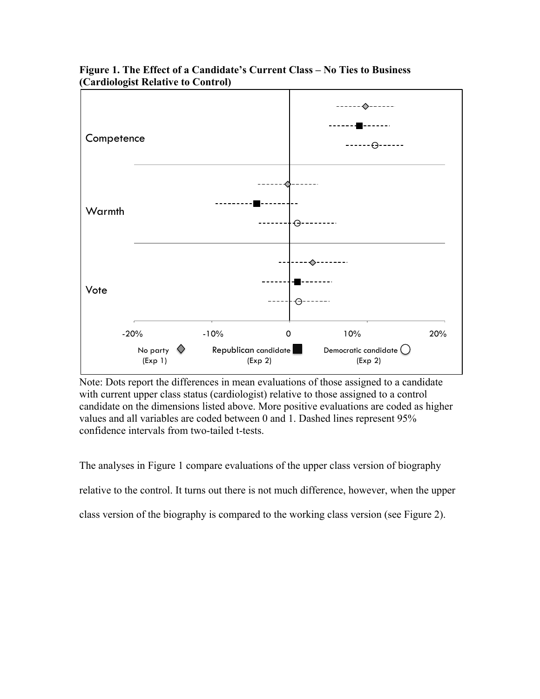

**Figure 1. The Effect of a Candidate's Current Class – No Ties to Business (Cardiologist Relative to Control)**

Note: Dots report the differences in mean evaluations of those assigned to a candidate with current upper class status (cardiologist) relative to those assigned to a control candidate on the dimensions listed above. More positive evaluations are coded as higher values and all variables are coded between 0 and 1. Dashed lines represent 95% confidence intervals from two-tailed t-tests.

The analyses in Figure 1 compare evaluations of the upper class version of biography relative to the control. It turns out there is not much difference, however, when the upper class version of the biography is compared to the working class version (see Figure 2).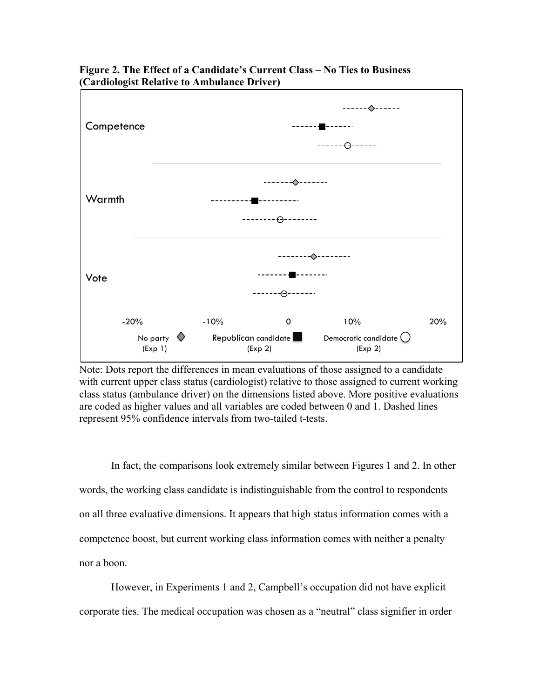

**Figure 2. The Effect of a Candidate's Current Class – No Ties to Business (Cardiologist Relative to Ambulance Driver)**

Note: Dots report the differences in mean evaluations of those assigned to a candidate with current upper class status (cardiologist) relative to those assigned to current working class status (ambulance driver) on the dimensions listed above. More positive evaluations are coded as higher values and all variables are coded between 0 and 1. Dashed lines represent 95% confidence intervals from two-tailed t-tests.

In fact, the comparisons look extremely similar between Figures 1 and 2. In other words, the working class candidate is indistinguishable from the control to respondents on all three evaluative dimensions. It appears that high status information comes with a competence boost, but current working class information comes with neither a penalty nor a boon.

However, in Experiments 1 and 2, Campbell's occupation did not have explicit corporate ties. The medical occupation was chosen as a "neutral" class signifier in order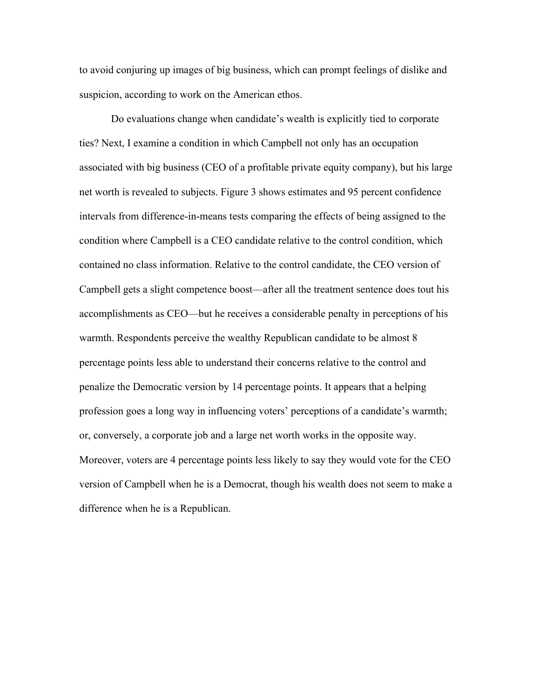to avoid conjuring up images of big business, which can prompt feelings of dislike and suspicion, according to work on the American ethos.

Do evaluations change when candidate's wealth is explicitly tied to corporate ties? Next, I examine a condition in which Campbell not only has an occupation associated with big business (CEO of a profitable private equity company), but his large net worth is revealed to subjects. Figure 3 shows estimates and 95 percent confidence intervals from difference-in-means tests comparing the effects of being assigned to the condition where Campbell is a CEO candidate relative to the control condition, which contained no class information. Relative to the control candidate, the CEO version of Campbell gets a slight competence boost—after all the treatment sentence does tout his accomplishments as CEO—but he receives a considerable penalty in perceptions of his warmth. Respondents perceive the wealthy Republican candidate to be almost 8 percentage points less able to understand their concerns relative to the control and penalize the Democratic version by 14 percentage points. It appears that a helping profession goes a long way in influencing voters' perceptions of a candidate's warmth; or, conversely, a corporate job and a large net worth works in the opposite way. Moreover, voters are 4 percentage points less likely to say they would vote for the CEO version of Campbell when he is a Democrat, though his wealth does not seem to make a difference when he is a Republican.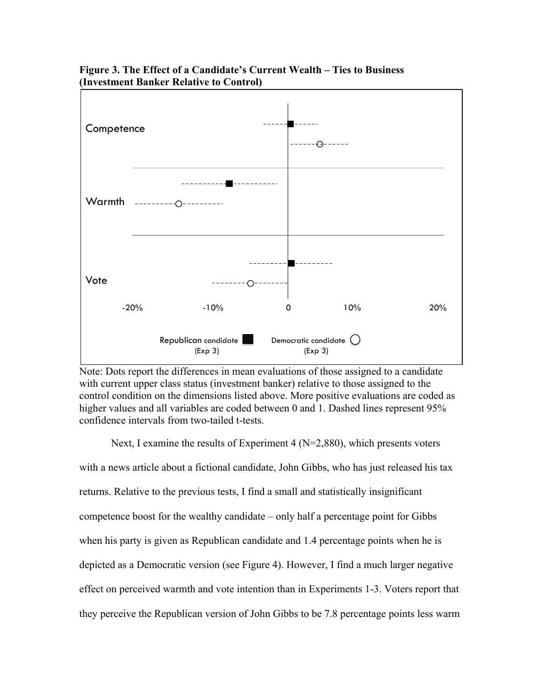

## **Figure 3. The Effect of a Candidate's Current Wealth – Ties to Business (Investment Banker Relative to Control)**

Note: Dots report the differences in mean evaluations of those assigned to a candidate with current upper class status (investment banker) relative to those assigned to the control condition on the dimensions listed above. More positive evaluations are coded as higher values and all variables are coded between 0 and 1. Dashed lines represent 95% confidence intervals from two-tailed t-tests.

Next, I examine the results of Experiment 4 (N=2,880), which presents voters with a news article about a fictional candidate, John Gibbs, who has just released his tax returns. Relative to the previous tests, I find a small and statistically insignificant competence boost for the wealthy candidate – only half a percentage point for Gibbs when his party is given as Republican candidate and 1.4 percentage points when he is depicted as a Democratic version (see Figure 4). However, I find a much larger negative effect on perceived warmth and vote intention than in Experiments 1-3. Voters report that they perceive the Republican version of John Gibbs to be 7.8 percentage points less warm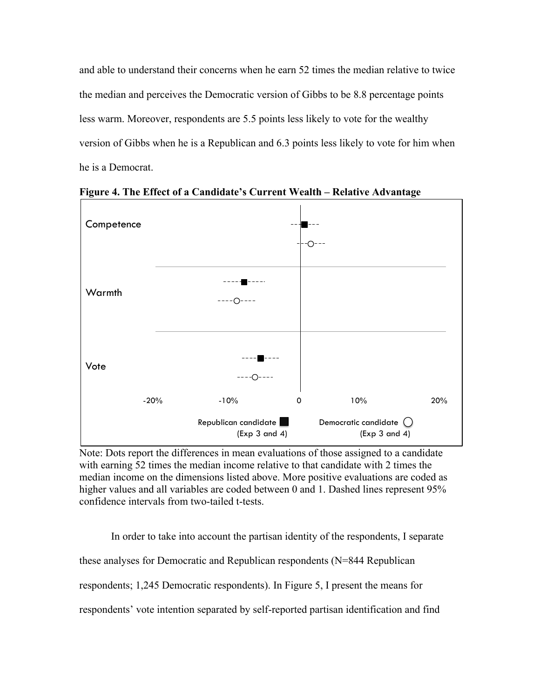and able to understand their concerns when he earn 52 times the median relative to twice the median and perceives the Democratic version of Gibbs to be 8.8 percentage points less warm. Moreover, respondents are 5.5 points less likely to vote for the wealthy version of Gibbs when he is a Republican and 6.3 points less likely to vote for him when he is a Democrat.



**Figure 4. The Effect of a Candidate's Current Wealth – Relative Advantage**

Note: Dots report the differences in mean evaluations of those assigned to a candidate with earning 52 times the median income relative to that candidate with 2 times the median income on the dimensions listed above. More positive evaluations are coded as higher values and all variables are coded between 0 and 1. Dashed lines represent 95% confidence intervals from two-tailed t-tests.

In order to take into account the partisan identity of the respondents, I separate these analyses for Democratic and Republican respondents (N=844 Republican respondents; 1,245 Democratic respondents). In Figure 5, I present the means for respondents' vote intention separated by self-reported partisan identification and find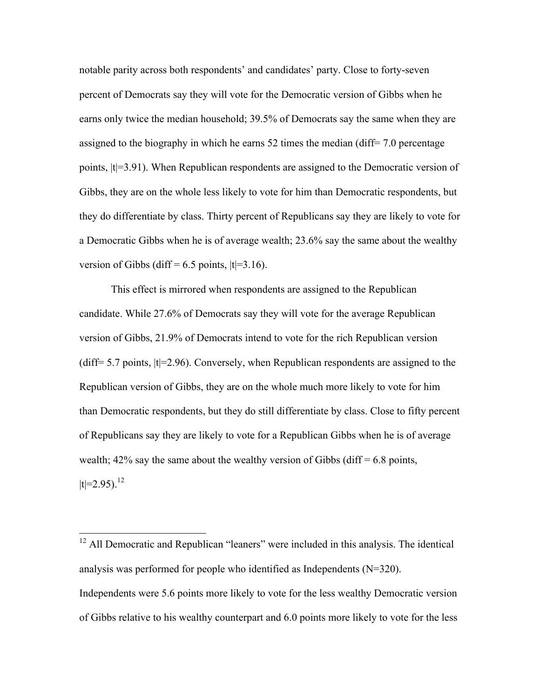notable parity across both respondents' and candidates' party. Close to forty-seven percent of Democrats say they will vote for the Democratic version of Gibbs when he earns only twice the median household; 39.5% of Democrats say the same when they are assigned to the biography in which he earns 52 times the median (diff= 7.0 percentage points, |t|=3.91). When Republican respondents are assigned to the Democratic version of Gibbs, they are on the whole less likely to vote for him than Democratic respondents, but they do differentiate by class. Thirty percent of Republicans say they are likely to vote for a Democratic Gibbs when he is of average wealth; 23.6% say the same about the wealthy version of Gibbs (diff =  $6.5$  points,  $|t|=3.16$ ).

This effect is mirrored when respondents are assigned to the Republican candidate. While 27.6% of Democrats say they will vote for the average Republican version of Gibbs, 21.9% of Democrats intend to vote for the rich Republican version (diff=  $5.7$  points,  $|t|=2.96$ ). Conversely, when Republican respondents are assigned to the Republican version of Gibbs, they are on the whole much more likely to vote for him than Democratic respondents, but they do still differentiate by class. Close to fifty percent of Republicans say they are likely to vote for a Republican Gibbs when he is of average wealth;  $42\%$  say the same about the wealthy version of Gibbs (diff = 6.8 points,  $|t|=2.95$ ).<sup>12</sup>

 $12$  All Democratic and Republican "leaners" were included in this analysis. The identical analysis was performed for people who identified as Independents (N=320). Independents were 5.6 points more likely to vote for the less wealthy Democratic version of Gibbs relative to his wealthy counterpart and 6.0 points more likely to vote for the less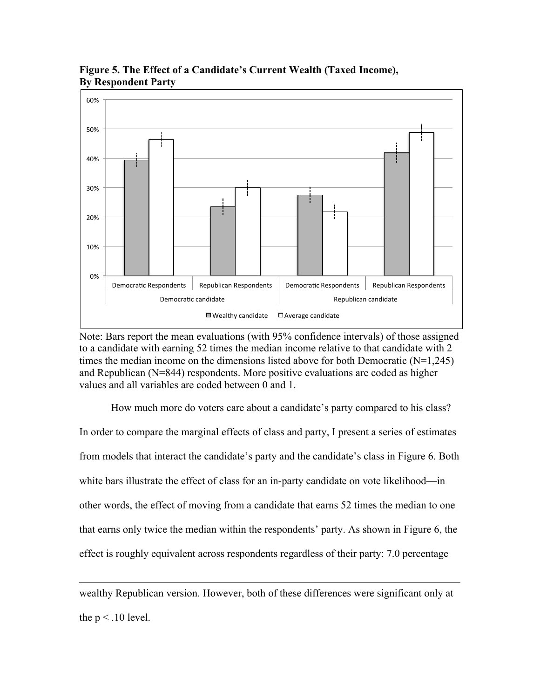

**Figure 5. The Effect of a Candidate's Current Wealth (Taxed Income), By Respondent Party**

Note: Bars report the mean evaluations (with 95% confidence intervals) of those assigned to a candidate with earning 52 times the median income relative to that candidate with 2 times the median income on the dimensions listed above for both Democratic (N=1,245) and Republican (N=844) respondents. More positive evaluations are coded as higher values and all variables are coded between 0 and 1.

How much more do voters care about a candidate's party compared to his class? In order to compare the marginal effects of class and party, I present a series of estimates from models that interact the candidate's party and the candidate's class in Figure 6. Both white bars illustrate the effect of class for an in-party candidate on vote likelihood—in other words, the effect of moving from a candidate that earns 52 times the median to one that earns only twice the median within the respondents' party. As shown in Figure 6, the effect is roughly equivalent across respondents regardless of their party: 7.0 percentage

wealthy Republican version. However, both of these differences were significant only at the  $p < 0.10$  level.

!!!!!!!!!!!!!!!!!!!!!!!!!!!!!!!!!!!!!!!!!!!!!!!!!!!!!!!!!!!!!!!!!!!!!!!!!!!!!!!!!!!!!!!!!!!!!!!!!!!!!!!!!!!!!!!!!!!!!!!!!!!!!!!!!!!!!!!!!!!!!!!!!!!!!!!!!!!!!!!!!!!!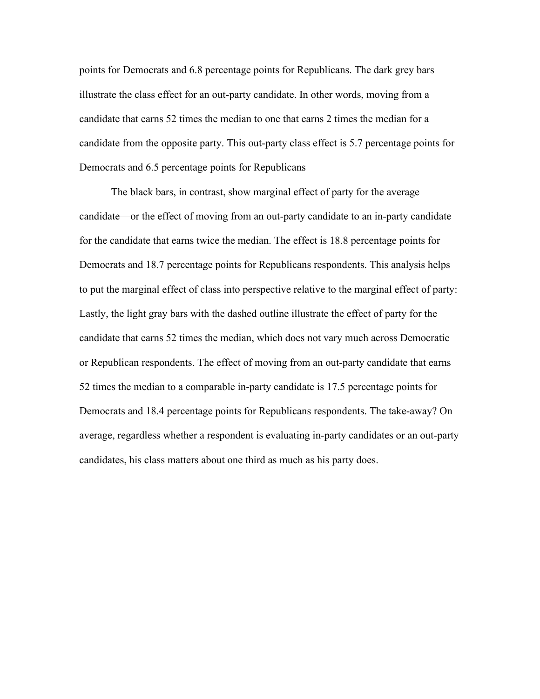points for Democrats and 6.8 percentage points for Republicans. The dark grey bars illustrate the class effect for an out-party candidate. In other words, moving from a candidate that earns 52 times the median to one that earns 2 times the median for a candidate from the opposite party. This out-party class effect is 5.7 percentage points for Democrats and 6.5 percentage points for Republicans

The black bars, in contrast, show marginal effect of party for the average candidate—or the effect of moving from an out-party candidate to an in-party candidate for the candidate that earns twice the median. The effect is 18.8 percentage points for Democrats and 18.7 percentage points for Republicans respondents. This analysis helps to put the marginal effect of class into perspective relative to the marginal effect of party: Lastly, the light gray bars with the dashed outline illustrate the effect of party for the candidate that earns 52 times the median, which does not vary much across Democratic or Republican respondents. The effect of moving from an out-party candidate that earns 52 times the median to a comparable in-party candidate is 17.5 percentage points for Democrats and 18.4 percentage points for Republicans respondents. The take-away? On average, regardless whether a respondent is evaluating in-party candidates or an out-party candidates, his class matters about one third as much as his party does.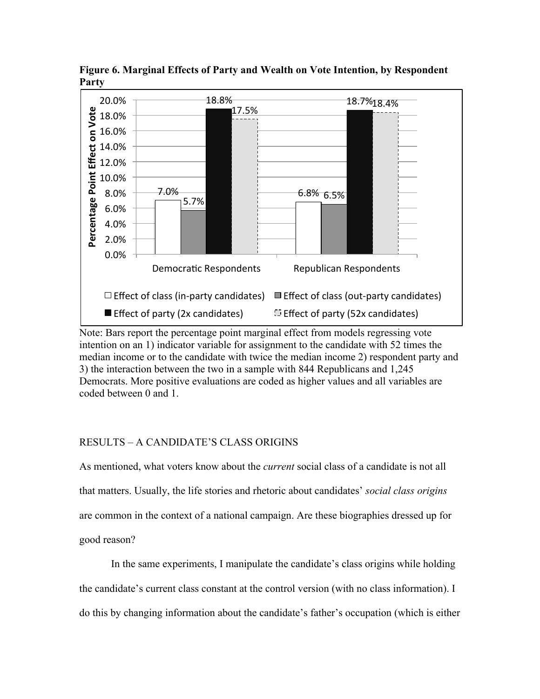

**Figure 6. Marginal Effects of Party and Wealth on Vote Intention, by Respondent Party**

Note: Bars report the percentage point marginal effect from models regressing vote intention on an 1) indicator variable for assignment to the candidate with 52 times the median income or to the candidate with twice the median income 2) respondent party and 3) the interaction between the two in a sample with 844 Republicans and 1,245 Democrats. More positive evaluations are coded as higher values and all variables are coded between 0 and 1.

## RESULTS – A CANDIDATE'S CLASS ORIGINS

As mentioned, what voters know about the *current* social class of a candidate is not all that matters. Usually, the life stories and rhetoric about candidates' *social class origins* are common in the context of a national campaign. Are these biographies dressed up for good reason?

In the same experiments, I manipulate the candidate's class origins while holding the candidate's current class constant at the control version (with no class information). I do this by changing information about the candidate's father's occupation (which is either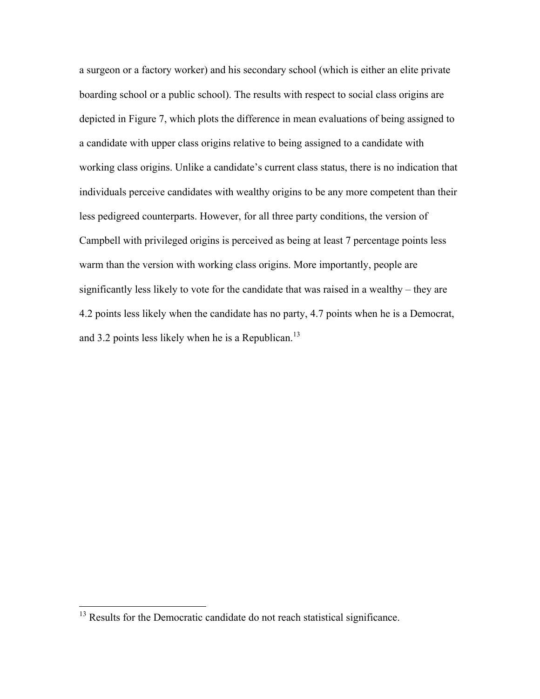a surgeon or a factory worker) and his secondary school (which is either an elite private boarding school or a public school). The results with respect to social class origins are depicted in Figure 7, which plots the difference in mean evaluations of being assigned to a candidate with upper class origins relative to being assigned to a candidate with working class origins. Unlike a candidate's current class status, there is no indication that individuals perceive candidates with wealthy origins to be any more competent than their less pedigreed counterparts. However, for all three party conditions, the version of Campbell with privileged origins is perceived as being at least 7 percentage points less warm than the version with working class origins. More importantly, people are significantly less likely to vote for the candidate that was raised in a wealthy – they are 4.2 points less likely when the candidate has no party, 4.7 points when he is a Democrat, and 3.2 points less likely when he is a Republican.<sup>13</sup>

<sup>&</sup>lt;sup>13</sup> Results for the Democratic candidate do not reach statistical significance.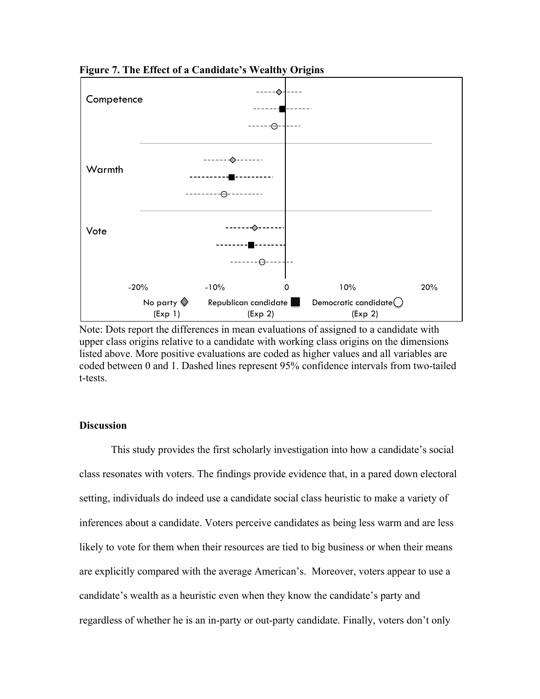

**Figure 7. The Effect of a Candidate's Wealthy Origins**

Note: Dots report the differences in mean evaluations of assigned to a candidate with upper class origins relative to a candidate with working class origins on the dimensions listed above. More positive evaluations are coded as higher values and all variables are coded between 0 and 1. Dashed lines represent 95% confidence intervals from two-tailed t-tests.

## **Discussion**

This study provides the first scholarly investigation into how a candidate's social class resonates with voters. The findings provide evidence that, in a pared down electoral setting, individuals do indeed use a candidate social class heuristic to make a variety of inferences about a candidate. Voters perceive candidates as being less warm and are less likely to vote for them when their resources are tied to big business or when their means are explicitly compared with the average American's. Moreover, voters appear to use a candidate's wealth as a heuristic even when they know the candidate's party and regardless of whether he is an in-party or out-party candidate. Finally, voters don't only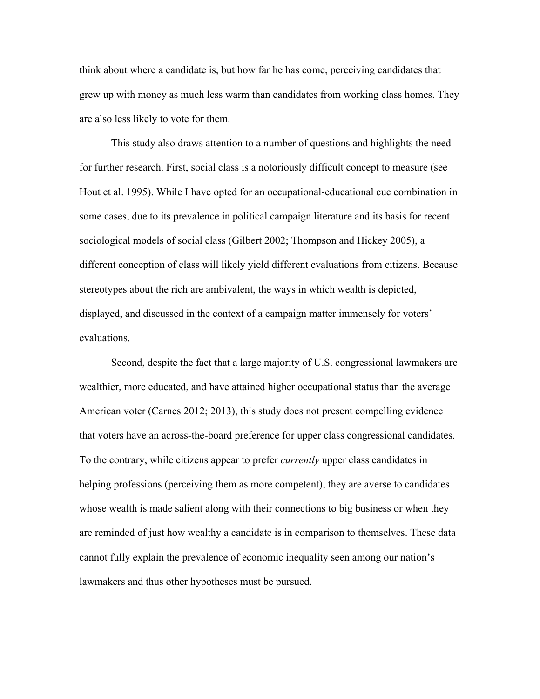think about where a candidate is, but how far he has come, perceiving candidates that grew up with money as much less warm than candidates from working class homes. They are also less likely to vote for them.

This study also draws attention to a number of questions and highlights the need for further research. First, social class is a notoriously difficult concept to measure (see Hout et al. 1995). While I have opted for an occupational-educational cue combination in some cases, due to its prevalence in political campaign literature and its basis for recent sociological models of social class (Gilbert 2002; Thompson and Hickey 2005), a different conception of class will likely yield different evaluations from citizens. Because stereotypes about the rich are ambivalent, the ways in which wealth is depicted, displayed, and discussed in the context of a campaign matter immensely for voters' evaluations.

Second, despite the fact that a large majority of U.S. congressional lawmakers are wealthier, more educated, and have attained higher occupational status than the average American voter (Carnes 2012; 2013), this study does not present compelling evidence that voters have an across-the-board preference for upper class congressional candidates. To the contrary, while citizens appear to prefer *currently* upper class candidates in helping professions (perceiving them as more competent), they are averse to candidates whose wealth is made salient along with their connections to big business or when they are reminded of just how wealthy a candidate is in comparison to themselves. These data cannot fully explain the prevalence of economic inequality seen among our nation's lawmakers and thus other hypotheses must be pursued.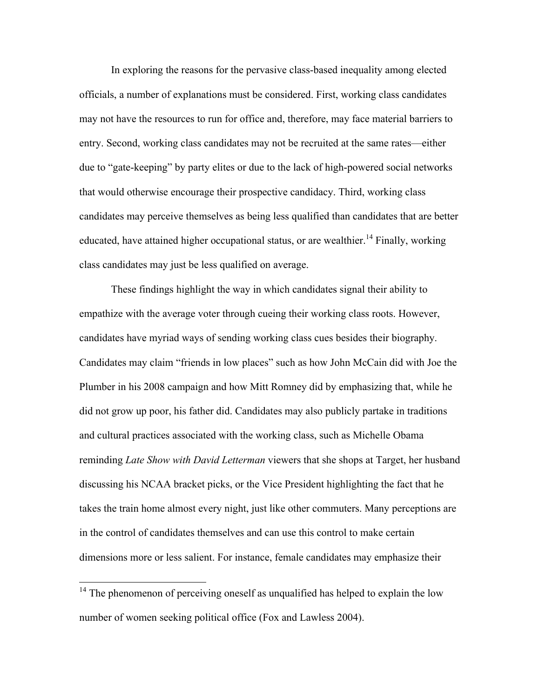In exploring the reasons for the pervasive class-based inequality among elected officials, a number of explanations must be considered. First, working class candidates may not have the resources to run for office and, therefore, may face material barriers to entry. Second, working class candidates may not be recruited at the same rates—either due to "gate-keeping" by party elites or due to the lack of high-powered social networks that would otherwise encourage their prospective candidacy. Third, working class candidates may perceive themselves as being less qualified than candidates that are better educated, have attained higher occupational status, or are wealthier.<sup>14</sup> Finally, working class candidates may just be less qualified on average.

These findings highlight the way in which candidates signal their ability to empathize with the average voter through cueing their working class roots. However, candidates have myriad ways of sending working class cues besides their biography. Candidates may claim "friends in low places" such as how John McCain did with Joe the Plumber in his 2008 campaign and how Mitt Romney did by emphasizing that, while he did not grow up poor, his father did. Candidates may also publicly partake in traditions and cultural practices associated with the working class, such as Michelle Obama reminding *Late Show with David Letterman* viewers that she shops at Target, her husband discussing his NCAA bracket picks, or the Vice President highlighting the fact that he takes the train home almost every night, just like other commuters. Many perceptions are in the control of candidates themselves and can use this control to make certain dimensions more or less salient. For instance, female candidates may emphasize their

 $14$  The phenomenon of perceiving oneself as unqualified has helped to explain the low number of women seeking political office (Fox and Lawless 2004).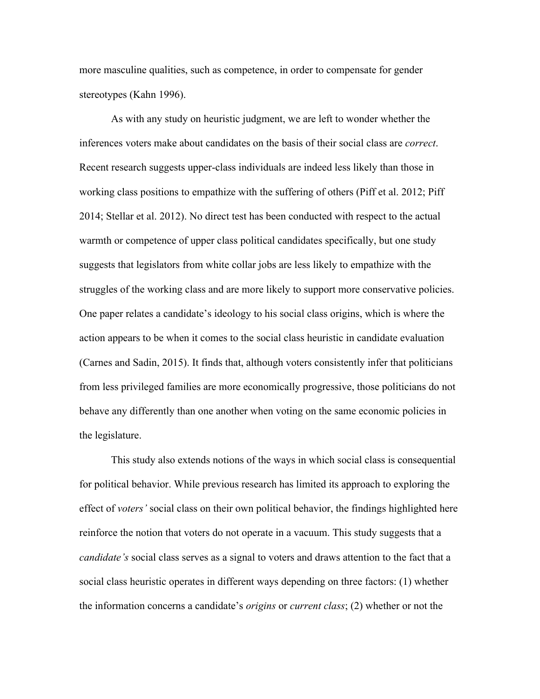more masculine qualities, such as competence, in order to compensate for gender stereotypes (Kahn 1996).

As with any study on heuristic judgment, we are left to wonder whether the inferences voters make about candidates on the basis of their social class are *correct*. Recent research suggests upper-class individuals are indeed less likely than those in working class positions to empathize with the suffering of others (Piff et al. 2012; Piff 2014; Stellar et al. 2012). No direct test has been conducted with respect to the actual warmth or competence of upper class political candidates specifically, but one study suggests that legislators from white collar jobs are less likely to empathize with the struggles of the working class and are more likely to support more conservative policies. One paper relates a candidate's ideology to his social class origins, which is where the action appears to be when it comes to the social class heuristic in candidate evaluation (Carnes and Sadin, 2015). It finds that, although voters consistently infer that politicians from less privileged families are more economically progressive, those politicians do not behave any differently than one another when voting on the same economic policies in the legislature.

This study also extends notions of the ways in which social class is consequential for political behavior. While previous research has limited its approach to exploring the effect of *voters'* social class on their own political behavior, the findings highlighted here reinforce the notion that voters do not operate in a vacuum. This study suggests that a *candidate's* social class serves as a signal to voters and draws attention to the fact that a social class heuristic operates in different ways depending on three factors: (1) whether the information concerns a candidate's *origins* or *current class*; (2) whether or not the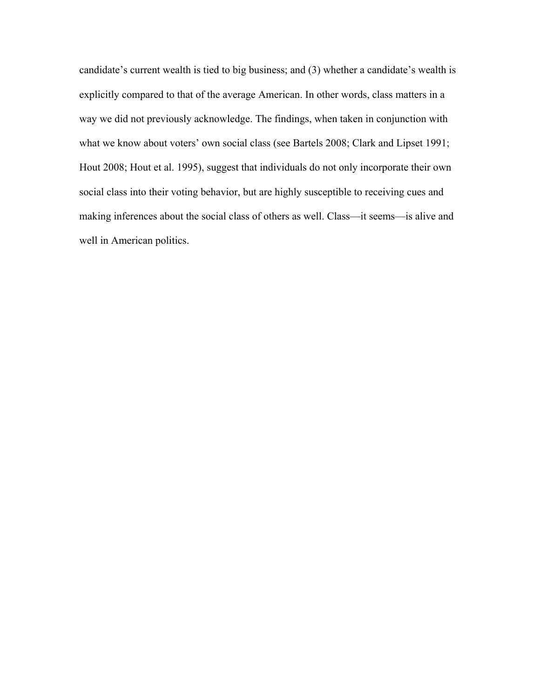candidate's current wealth is tied to big business; and (3) whether a candidate's wealth is explicitly compared to that of the average American. In other words, class matters in a way we did not previously acknowledge. The findings, when taken in conjunction with what we know about voters' own social class (see Bartels 2008; Clark and Lipset 1991; Hout 2008; Hout et al. 1995), suggest that individuals do not only incorporate their own social class into their voting behavior, but are highly susceptible to receiving cues and making inferences about the social class of others as well. Class—it seems—is alive and well in American politics.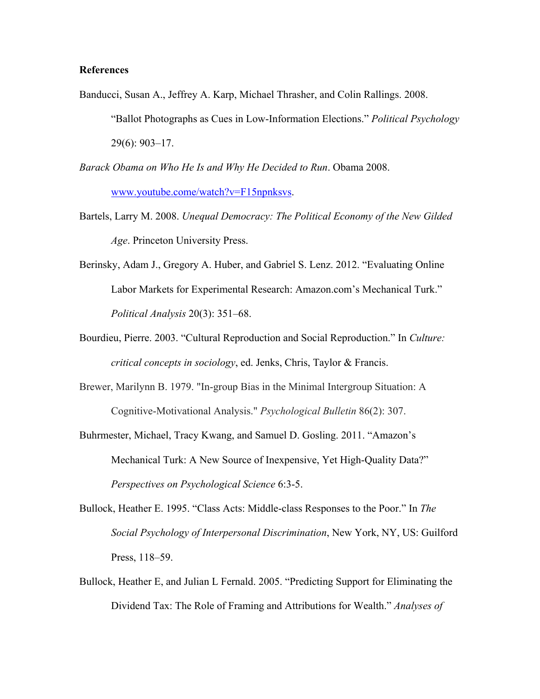### **References**

- Banducci, Susan A., Jeffrey A. Karp, Michael Thrasher, and Colin Rallings. 2008. "Ballot Photographs as Cues in Low-Information Elections." *Political Psychology* 29(6): 903–17.
- *Barack Obama on Who He Is and Why He Decided to Run*. Obama 2008. www.youtube.come/watch?v=F15npnksvs.
- Bartels, Larry M. 2008. *Unequal Democracy: The Political Economy of the New Gilded Age*. Princeton University Press.
- Berinsky, Adam J., Gregory A. Huber, and Gabriel S. Lenz. 2012. "Evaluating Online Labor Markets for Experimental Research: Amazon.com's Mechanical Turk." *Political Analysis* 20(3): 351–68.
- Bourdieu, Pierre. 2003. "Cultural Reproduction and Social Reproduction." In *Culture: critical concepts in sociology*, ed. Jenks, Chris, Taylor & Francis.
- Brewer, Marilynn B. 1979. "In-group Bias in the Minimal Intergroup Situation: A Cognitive-Motivational Analysis." *Psychological Bulletin* 86(2): 307.
- Buhrmester, Michael, Tracy Kwang, and Samuel D. Gosling. 2011. "Amazon's Mechanical Turk: A New Source of Inexpensive, Yet High-Quality Data?" *Perspectives on Psychological Science* 6:3-5.
- Bullock, Heather E. 1995. "Class Acts: Middle-class Responses to the Poor." In *The Social Psychology of Interpersonal Discrimination*, New York, NY, US: Guilford Press, 118–59.
- Bullock, Heather E, and Julian L Fernald. 2005. "Predicting Support for Eliminating the Dividend Tax: The Role of Framing and Attributions for Wealth." *Analyses of*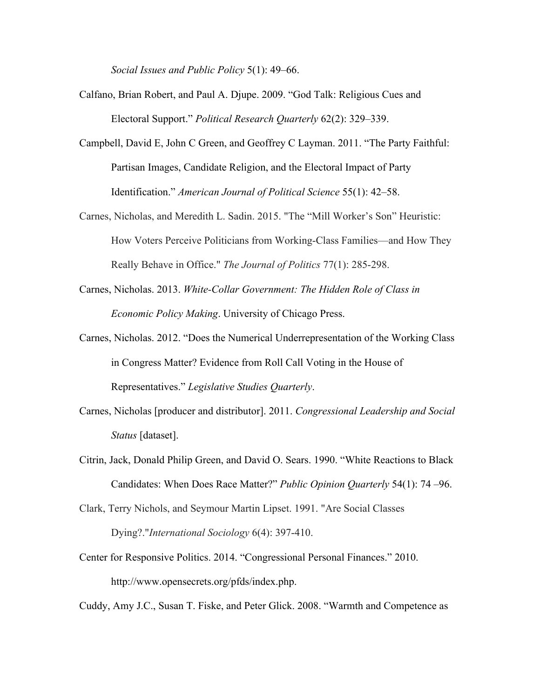*Social Issues and Public Policy* 5(1): 49–66.

- Calfano, Brian Robert, and Paul A. Djupe. 2009. "God Talk: Religious Cues and Electoral Support." *Political Research Quarterly* 62(2): 329–339.
- Campbell, David E, John C Green, and Geoffrey C Layman. 2011. "The Party Faithful: Partisan Images, Candidate Religion, and the Electoral Impact of Party Identification." *American Journal of Political Science* 55(1): 42–58.
- Carnes, Nicholas, and Meredith L. Sadin. 2015. "The "Mill Worker's Son" Heuristic: How Voters Perceive Politicians from Working-Class Families—and How They Really Behave in Office." *The Journal of Politics* 77(1): 285-298.
- Carnes, Nicholas. 2013. *White-Collar Government: The Hidden Role of Class in Economic Policy Making*. University of Chicago Press.
- Carnes, Nicholas. 2012. "Does the Numerical Underrepresentation of the Working Class in Congress Matter? Evidence from Roll Call Voting in the House of Representatives." *Legislative Studies Quarterly*.
- Carnes, Nicholas [producer and distributor]. 2011. *Congressional Leadership and Social Status* [dataset].
- Citrin, Jack, Donald Philip Green, and David O. Sears. 1990. "White Reactions to Black Candidates: When Does Race Matter?" *Public Opinion Quarterly* 54(1): 74 –96.
- Clark, Terry Nichols, and Seymour Martin Lipset. 1991. "Are Social Classes Dying?."*International Sociology* 6(4): 397-410.
- Center for Responsive Politics. 2014. "Congressional Personal Finances." 2010. http://www.opensecrets.org/pfds/index.php.

Cuddy, Amy J.C., Susan T. Fiske, and Peter Glick. 2008. "Warmth and Competence as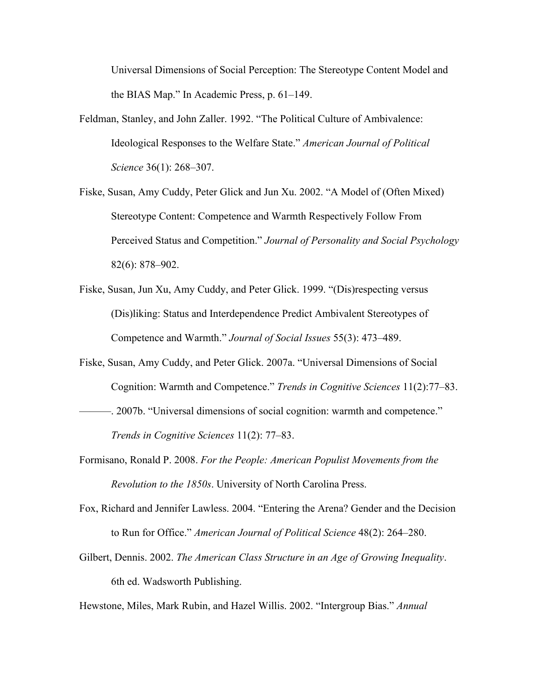Universal Dimensions of Social Perception: The Stereotype Content Model and the BIAS Map." In Academic Press, p. 61–149.

- Feldman, Stanley, and John Zaller. 1992. "The Political Culture of Ambivalence: Ideological Responses to the Welfare State." *American Journal of Political Science* 36(1): 268–307.
- Fiske, Susan, Amy Cuddy, Peter Glick and Jun Xu. 2002. "A Model of (Often Mixed) Stereotype Content: Competence and Warmth Respectively Follow From Perceived Status and Competition." *Journal of Personality and Social Psychology* 82(6): 878–902.
- Fiske, Susan, Jun Xu, Amy Cuddy, and Peter Glick. 1999. "(Dis)respecting versus (Dis)liking: Status and Interdependence Predict Ambivalent Stereotypes of Competence and Warmth." *Journal of Social Issues* 55(3): 473–489.
- Fiske, Susan, Amy Cuddy, and Peter Glick. 2007a. "Universal Dimensions of Social Cognition: Warmth and Competence." *Trends in Cognitive Sciences* 11(2):77–83.
- ———. 2007b. "Universal dimensions of social cognition: warmth and competence." *Trends in Cognitive Sciences* 11(2): 77–83.
- Formisano, Ronald P. 2008. *For the People: American Populist Movements from the Revolution to the 1850s*. University of North Carolina Press.
- Fox, Richard and Jennifer Lawless. 2004. "Entering the Arena? Gender and the Decision to Run for Office." *American Journal of Political Science* 48(2): 264–280.
- Gilbert, Dennis. 2002. *The American Class Structure in an Age of Growing Inequality*. 6th ed. Wadsworth Publishing.

Hewstone, Miles, Mark Rubin, and Hazel Willis. 2002. "Intergroup Bias." *Annual*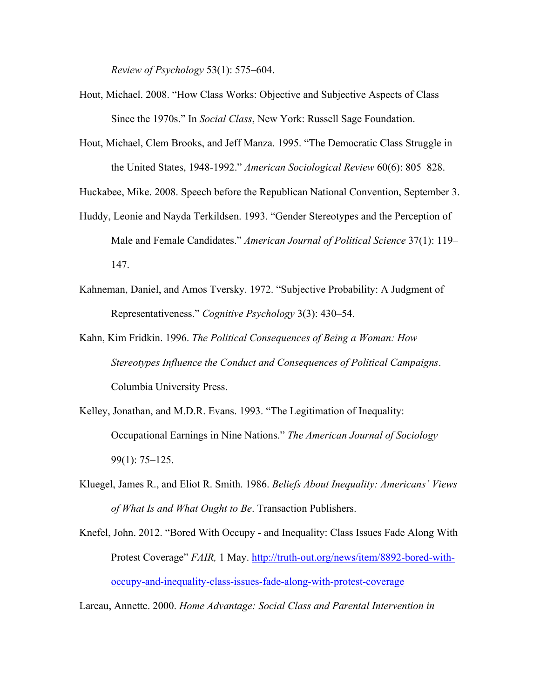*Review of Psychology* 53(1): 575–604.

- Hout, Michael. 2008. "How Class Works: Objective and Subjective Aspects of Class Since the 1970s." In *Social Class*, New York: Russell Sage Foundation.
- Hout, Michael, Clem Brooks, and Jeff Manza. 1995. "The Democratic Class Struggle in the United States, 1948-1992." *American Sociological Review* 60(6): 805–828.

Huckabee, Mike. 2008. Speech before the Republican National Convention, September 3.

- Huddy, Leonie and Nayda Terkildsen. 1993. "Gender Stereotypes and the Perception of Male and Female Candidates." *American Journal of Political Science* 37(1): 119– 147.
- Kahneman, Daniel, and Amos Tversky. 1972. "Subjective Probability: A Judgment of Representativeness." *Cognitive Psychology* 3(3): 430–54.
- Kahn, Kim Fridkin. 1996. *The Political Consequences of Being a Woman: How Stereotypes Influence the Conduct and Consequences of Political Campaigns*. Columbia University Press.
- Kelley, Jonathan, and M.D.R. Evans. 1993. "The Legitimation of Inequality: Occupational Earnings in Nine Nations." *The American Journal of Sociology* 99(1): 75–125.
- Kluegel, James R., and Eliot R. Smith. 1986. *Beliefs About Inequality: Americans' Views of What Is and What Ought to Be*. Transaction Publishers.
- Knefel, John. 2012. "Bored With Occupy and Inequality: Class Issues Fade Along With Protest Coverage" *FAIR,* 1 May. http://truth-out.org/news/item/8892-bored-withoccupy-and-inequality-class-issues-fade-along-with-protest-coverage

Lareau, Annette. 2000. *Home Advantage: Social Class and Parental Intervention in*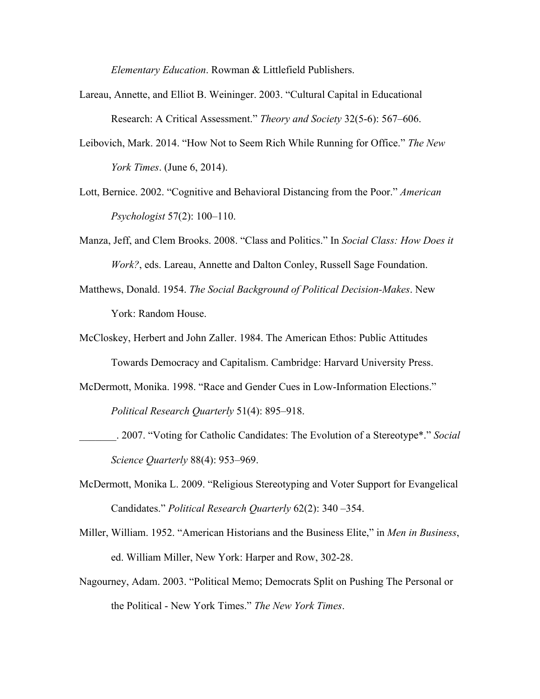*Elementary Education*. Rowman & Littlefield Publishers.

- Lareau, Annette, and Elliot B. Weininger. 2003. "Cultural Capital in Educational Research: A Critical Assessment." *Theory and Society* 32(5-6): 567–606.
- Leibovich, Mark. 2014. "How Not to Seem Rich While Running for Office." *The New York Times*. (June 6, 2014).
- Lott, Bernice. 2002. "Cognitive and Behavioral Distancing from the Poor." *American Psychologist* 57(2): 100–110.
- Manza, Jeff, and Clem Brooks. 2008. "Class and Politics." In *Social Class: How Does it Work?*, eds. Lareau, Annette and Dalton Conley, Russell Sage Foundation.
- Matthews, Donald. 1954. *The Social Background of Political Decision-Makes*. New York: Random House.
- McCloskey, Herbert and John Zaller. 1984. The American Ethos: Public Attitudes Towards Democracy and Capitalism. Cambridge: Harvard University Press.
- McDermott, Monika. 1998. "Race and Gender Cues in Low-Information Elections."

*Political Research Quarterly* 51(4): 895–918.

- \_\_\_\_\_\_\_. 2007. "Voting for Catholic Candidates: The Evolution of a Stereotype\*." *Social Science Quarterly* 88(4): 953–969.
- McDermott, Monika L. 2009. "Religious Stereotyping and Voter Support for Evangelical Candidates." *Political Research Quarterly* 62(2): 340 –354.
- Miller, William. 1952. "American Historians and the Business Elite," in *Men in Business*, ed. William Miller, New York: Harper and Row, 302-28.
- Nagourney, Adam. 2003. "Political Memo; Democrats Split on Pushing The Personal or the Political - New York Times." *The New York Times*.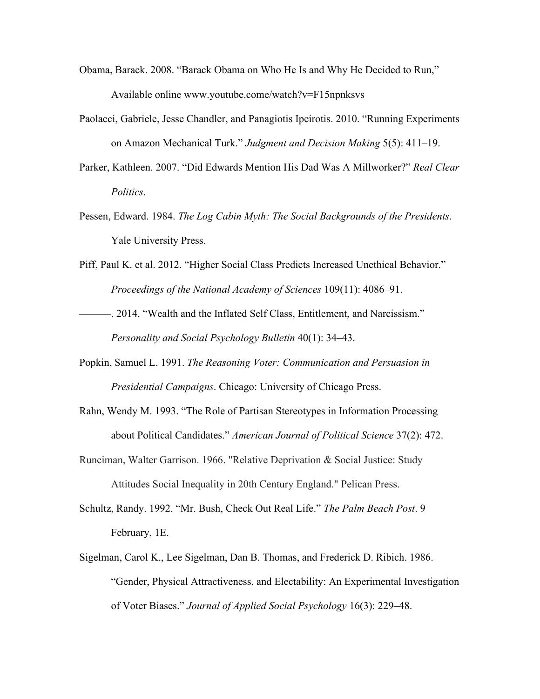- Obama, Barack. 2008. "Barack Obama on Who He Is and Why He Decided to Run," Available online www.youtube.come/watch?v=F15npnksvs
- Paolacci, Gabriele, Jesse Chandler, and Panagiotis Ipeirotis. 2010. "Running Experiments on Amazon Mechanical Turk." *Judgment and Decision Making* 5(5): 411–19.
- Parker, Kathleen. 2007. "Did Edwards Mention His Dad Was A Millworker?" *Real Clear Politics*.
- Pessen, Edward. 1984. *The Log Cabin Myth: The Social Backgrounds of the Presidents*. Yale University Press.
- Piff, Paul K. et al. 2012. "Higher Social Class Predicts Increased Unethical Behavior." *Proceedings of the National Academy of Sciences* 109(11): 4086–91.
- ———. 2014. "Wealth and the Inflated Self Class, Entitlement, and Narcissism." *Personality and Social Psychology Bulletin* 40(1): 34–43.
- Popkin, Samuel L. 1991. *The Reasoning Voter: Communication and Persuasion in Presidential Campaigns*. Chicago: University of Chicago Press.
- Rahn, Wendy M. 1993. "The Role of Partisan Stereotypes in Information Processing about Political Candidates." *American Journal of Political Science* 37(2): 472.
- Runciman, Walter Garrison. 1966. "Relative Deprivation & Social Justice: Study Attitudes Social Inequality in 20th Century England." Pelican Press.
- Schultz, Randy. 1992. "Mr. Bush, Check Out Real Life." *The Palm Beach Post*. 9 February, 1E.
- Sigelman, Carol K., Lee Sigelman, Dan B. Thomas, and Frederick D. Ribich. 1986. "Gender, Physical Attractiveness, and Electability: An Experimental Investigation of Voter Biases." *Journal of Applied Social Psychology* 16(3): 229–48.